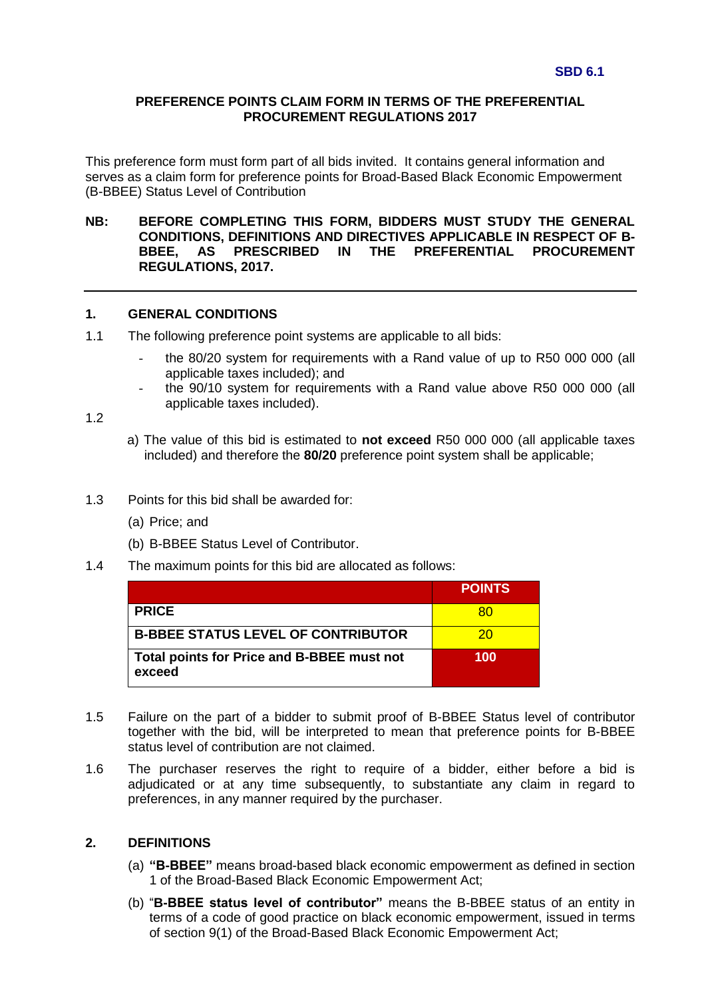# **PREFERENCE POINTS CLAIM FORM IN TERMS OF THE PREFERENTIAL PROCUREMENT REGULATIONS 2017**

This preference form must form part of all bids invited. It contains general information and serves as a claim form for preference points for Broad-Based Black Economic Empowerment (B-BBEE) Status Level of Contribution

# **NB: BEFORE COMPLETING THIS FORM, BIDDERS MUST STUDY THE GENERAL CONDITIONS, DEFINITIONS AND DIRECTIVES APPLICABLE IN RESPECT OF B-BBEE, AS PRESCRIBED IN THE PREFERENTIAL PROCUREMENT REGULATIONS, 2017.**

#### **1. GENERAL CONDITIONS**

- 1.1 The following preference point systems are applicable to all bids:
	- the 80/20 system for requirements with a Rand value of up to R50 000 000 (all applicable taxes included); and
	- the 90/10 system for requirements with a Rand value above R50 000 000 (all applicable taxes included).
- 1.2
- a) The value of this bid is estimated to **not exceed** R50 000 000 (all applicable taxes included) and therefore the **80/20** preference point system shall be applicable;
- 1.3 Points for this bid shall be awarded for:
	- (a) Price; and
	- (b) B-BBEE Status Level of Contributor.
- 1.4 The maximum points for this bid are allocated as follows:

|                                                      | <b>POINTS</b> |
|------------------------------------------------------|---------------|
| <b>PRICE</b>                                         | 80            |
| <b>B-BBEE STATUS LEVEL OF CONTRIBUTOR</b>            | 20            |
| Total points for Price and B-BBEE must not<br>exceed | 100           |

- 1.5 Failure on the part of a bidder to submit proof of B-BBEE Status level of contributor together with the bid, will be interpreted to mean that preference points for B-BBEE status level of contribution are not claimed.
- 1.6 The purchaser reserves the right to require of a bidder, either before a bid is adjudicated or at any time subsequently, to substantiate any claim in regard to preferences, in any manner required by the purchaser.

#### **2. DEFINITIONS**

- (a) **"B-BBEE"** means broad-based black economic empowerment as defined in section 1 of the Broad-Based Black Economic Empowerment Act;
- (b) "**B-BBEE status level of contributor"** means the B-BBEE status of an entity in terms of a code of good practice on black economic empowerment, issued in terms of section 9(1) of the Broad-Based Black Economic Empowerment Act;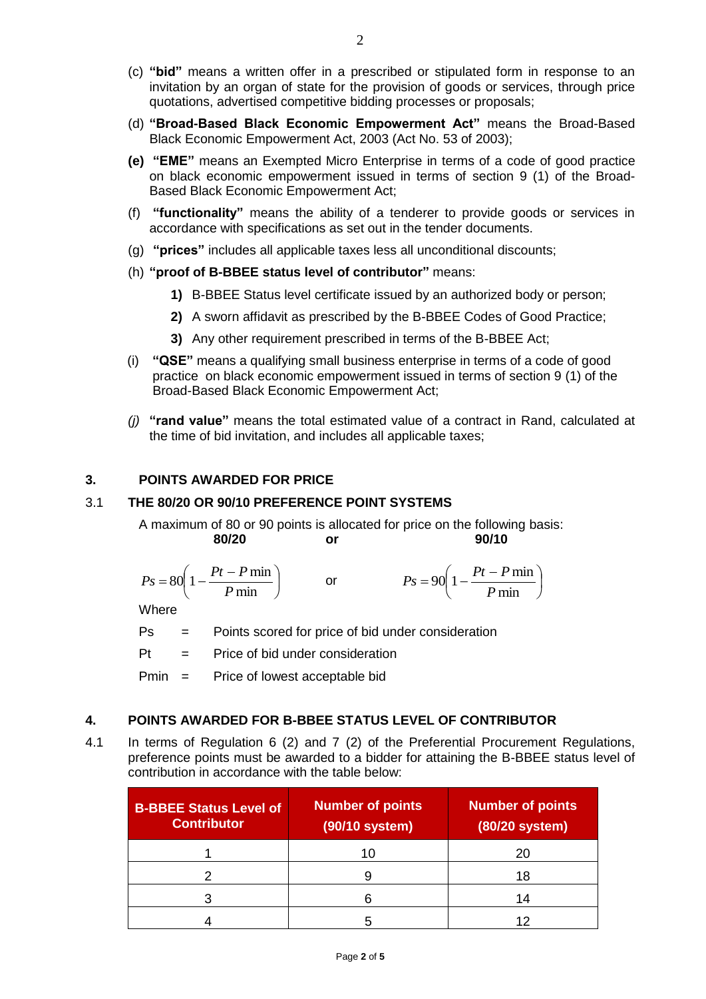- (c) **"bid"** means a written offer in a prescribed or stipulated form in response to an invitation by an organ of state for the provision of goods or services, through price quotations, advertised competitive bidding processes or proposals;
- (d) **"Broad-Based Black Economic Empowerment Act"** means the Broad-Based Black Economic Empowerment Act, 2003 (Act No. 53 of 2003);
- **(e) "EME"** means an Exempted Micro Enterprise in terms of a code of good practice on black economic empowerment issued in terms of section 9 (1) of the Broad-Based Black Economic Empowerment Act;
- (f) **"functionality"** means the ability of a tenderer to provide goods or services in accordance with specifications as set out in the tender documents.
- (g) **"prices"** includes all applicable taxes less all unconditional discounts;
- (h) **"proof of B-BBEE status level of contributor"** means:
	- **1)** B-BBEE Status level certificate issued by an authorized body or person;
	- **2)** A sworn affidavit as prescribed by the B-BBEE Codes of Good Practice;
	- **3)** Any other requirement prescribed in terms of the B-BBEE Act;
- (i) **"QSE"** means a qualifying small business enterprise in terms of a code of good practice on black economic empowerment issued in terms of section 9 (1) of the Broad-Based Black Economic Empowerment Act;
- *(j)* **"rand value"** means the total estimated value of a contract in Rand, calculated at the time of bid invitation, and includes all applicable taxes;

# **3. POINTS AWARDED FOR PRICE**

## 3.1 **THE 80/20 OR 90/10 PREFERENCE POINT SYSTEMS**

A maximum of 80 or 90 points is allocated for price on the following basis: **80/20 or 90/10**

$$
P_s = 80 \left( 1 - \frac{Pt - P \min}{P \min} \right) \qquad \text{or} \qquad P_s = 90 \left( 1 - \frac{Pt - P \min}{P \min} \right)
$$

**Where** 

- Ps = Points scored for price of bid under consideration
- $Pt =$  Price of bid under consideration

Pmin = Price of lowest acceptable bid

# **4. POINTS AWARDED FOR B-BBEE STATUS LEVEL OF CONTRIBUTOR**

4.1 In terms of Regulation 6 (2) and 7 (2) of the Preferential Procurement Regulations, preference points must be awarded to a bidder for attaining the B-BBEE status level of contribution in accordance with the table below:

| <b>B-BBEE Status Level of</b><br><b>Contributor</b> | <b>Number of points</b><br>(90/10 system) | <b>Number of points</b><br>(80/20 system) |
|-----------------------------------------------------|-------------------------------------------|-------------------------------------------|
|                                                     | 10                                        | 20                                        |
|                                                     |                                           | 18                                        |
|                                                     |                                           | 14                                        |
|                                                     |                                           |                                           |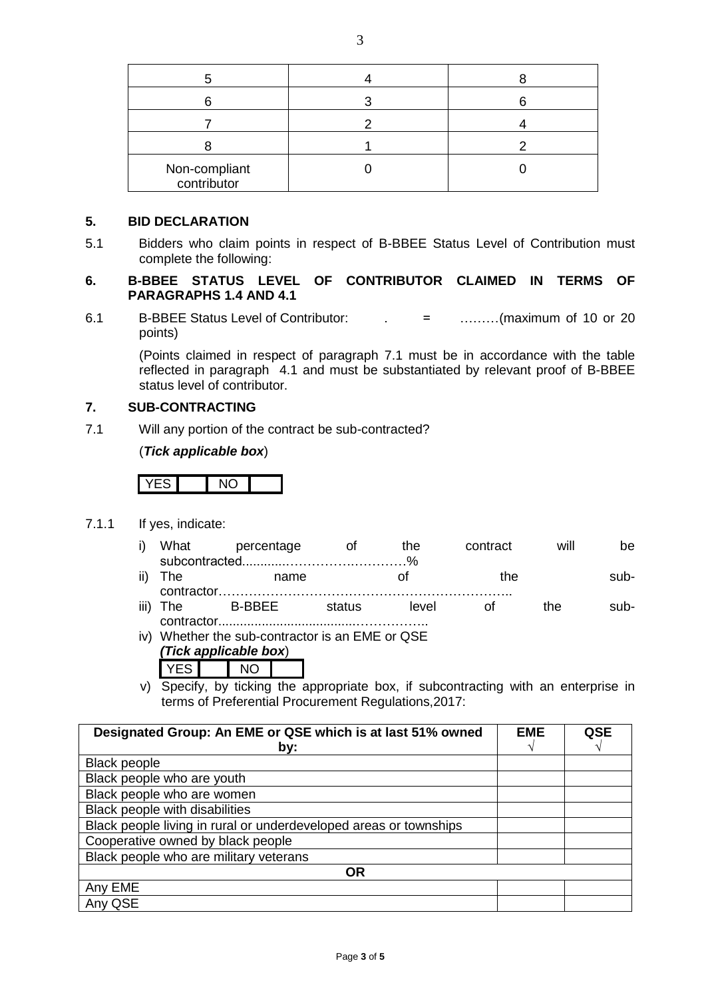| Non-compliant<br>contributor |  |
|------------------------------|--|

# **5. BID DECLARATION**

5.1 Bidders who claim points in respect of B-BBEE Status Level of Contribution must complete the following:

# **6. B-BBEE STATUS LEVEL OF CONTRIBUTOR CLAIMED IN TERMS OF PARAGRAPHS 1.4 AND 4.1**

6.1 B-BBEE Status Level of Contributor: . = ………(maximum of 10 or 20 points)

(Points claimed in respect of paragraph 7.1 must be in accordance with the table reflected in paragraph 4.1 and must be substantiated by relevant proof of B-BBEE status level of contributor.

#### **7. SUB-CONTRACTING**

7.1 Will any portion of the contract be sub-contracted?

# (*Tick applicable box*)



7.1.1 If yes, indicate:

|      | i) What | percentage    | ot.    | the   | contract | will | be.  |
|------|---------|---------------|--------|-------|----------|------|------|
| ii)  | The     | name          |        |       | the      |      | sub- |
| iii) | The     | <b>R-RRFF</b> | status | level | ∩t       | the  | sub- |

- contractor......................................…………….. iv) Whether the sub-contractor is an EME or QSE
	- *(Tick applicable box*)

YES NO

v) Specify, by ticking the appropriate box, if subcontracting with an enterprise in terms of Preferential Procurement Regulations,2017:

| Designated Group: An EME or QSE which is at last 51% owned        | <b>EME</b> | <b>QSE</b> |
|-------------------------------------------------------------------|------------|------------|
| by:                                                               |            |            |
| <b>Black people</b>                                               |            |            |
| Black people who are youth                                        |            |            |
| Black people who are women                                        |            |            |
| Black people with disabilities                                    |            |            |
| Black people living in rural or underdeveloped areas or townships |            |            |
| Cooperative owned by black people                                 |            |            |
| Black people who are military veterans                            |            |            |
| <b>OR</b>                                                         |            |            |
| Any EME                                                           |            |            |
| Any QSE                                                           |            |            |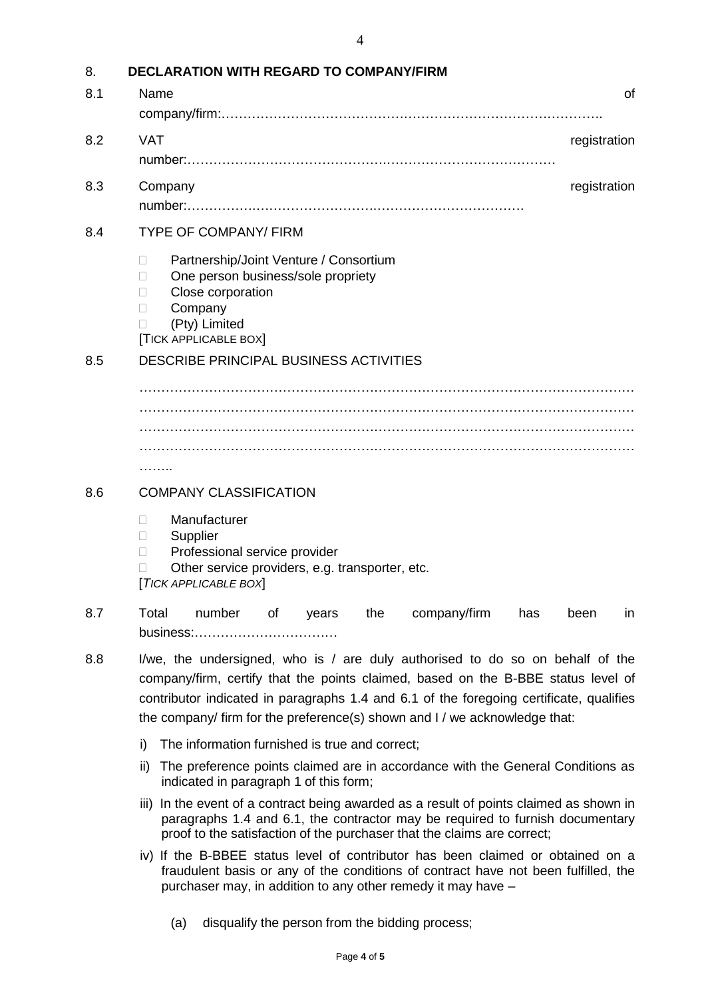| 8.  | <b>DECLARATION WITH REGARD TO COMPANY/FIRM</b>                                                                                                                                                                                                                                                                                              |  |
|-----|---------------------------------------------------------------------------------------------------------------------------------------------------------------------------------------------------------------------------------------------------------------------------------------------------------------------------------------------|--|
| 8.1 | Name<br>οf                                                                                                                                                                                                                                                                                                                                  |  |
| 8.2 | <b>VAT</b><br>registration                                                                                                                                                                                                                                                                                                                  |  |
| 8.3 | registration<br>Company                                                                                                                                                                                                                                                                                                                     |  |
| 8.4 | <b>TYPE OF COMPANY/ FIRM</b>                                                                                                                                                                                                                                                                                                                |  |
|     | Partnership/Joint Venture / Consortium<br>$\mathbf{L}$<br>One person business/sole propriety<br>Close corporation<br>$\mathbf{L}$<br>Company<br>$\mathbf{L}$<br>(Pty) Limited<br><b>TICK APPLICABLE BOX</b>                                                                                                                                 |  |
| 8.5 | DESCRIBE PRINCIPAL BUSINESS ACTIVITIES                                                                                                                                                                                                                                                                                                      |  |
|     |                                                                                                                                                                                                                                                                                                                                             |  |
|     |                                                                                                                                                                                                                                                                                                                                             |  |
|     |                                                                                                                                                                                                                                                                                                                                             |  |
|     | .                                                                                                                                                                                                                                                                                                                                           |  |
| 8.6 | <b>COMPANY CLASSIFICATION</b>                                                                                                                                                                                                                                                                                                               |  |
|     | Manufacturer<br>П<br>Supplier<br>u<br>Professional service provider<br>$\mathbf{L}$<br>Other service providers, e.g. transporter, etc.<br>[TICK APPLICABLE BOX]                                                                                                                                                                             |  |
| 8.7 | Total<br>number<br>company/firm<br>of<br>the<br>has<br>been<br>in<br>years<br>business:                                                                                                                                                                                                                                                     |  |
| 8.8 | I/we, the undersigned, who is / are duly authorised to do so on behalf of the<br>company/firm, certify that the points claimed, based on the B-BBE status level of<br>contributor indicated in paragraphs 1.4 and 6.1 of the foregoing certificate, qualifies<br>the company/ firm for the preference(s) shown and I / we acknowledge that: |  |
|     | The information furnished is true and correct;<br>i)                                                                                                                                                                                                                                                                                        |  |
|     | The preference points claimed are in accordance with the General Conditions as<br>ii)<br>indicated in paragraph 1 of this form;                                                                                                                                                                                                             |  |
|     | iii) In the event of a contract being awarded as a result of points claimed as shown in<br>paragraphs 1.4 and 6.1, the contractor may be required to furnish documentary<br>proof to the satisfaction of the purchaser that the claims are correct;                                                                                         |  |
|     | iv) If the B-BBEE status level of contributor has been claimed or obtained on a<br>fraudulent basis or any of the conditions of contract have not been fulfilled, the<br>purchaser may, in addition to any other remedy it may have -                                                                                                       |  |

(a) disqualify the person from the bidding process;